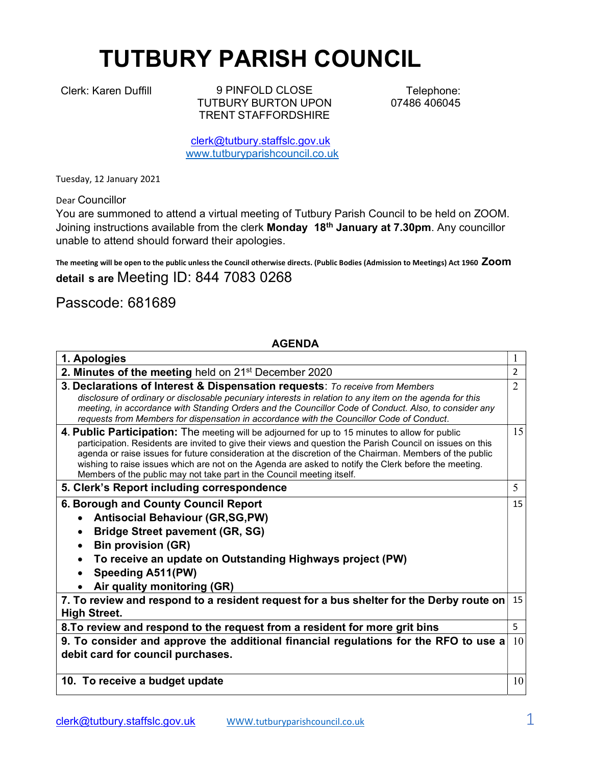## TUTBURY PARISH COUNCIL

Clerk: Karen Duffill 9 PINFOLD CLOSE TUTBURY BURTON UPON TRENT STAFFORDSHIRE

Telephone: 07486 406045

clerk@tutbury.staffslc.gov.uk www.tutburyparishcouncil.co.uk

Tuesday, 12 January 2021

Dear Councillor

You are summoned to attend a virtual meeting of Tutbury Parish Council to be held on ZOOM. Joining instructions available from the clerk Monday 18<sup>th</sup> January at 7.30pm. Any councillor unable to attend should forward their apologies.

The meeting will be open to the public unless the Council otherwise directs. (Public Bodies (Admission to Meetings) Act 1960 ZOOM detail s are Meeting ID: 844 7083 0268

## Passcode: 681689

## AGENDA

| 1. Apologies                                                                                                                                                                                                                                                                                                                                                                                                                                                                                                 |                |
|--------------------------------------------------------------------------------------------------------------------------------------------------------------------------------------------------------------------------------------------------------------------------------------------------------------------------------------------------------------------------------------------------------------------------------------------------------------------------------------------------------------|----------------|
| 2. Minutes of the meeting held on 21 <sup>st</sup> December 2020                                                                                                                                                                                                                                                                                                                                                                                                                                             | $\mathcal{P}$  |
| 3. Declarations of Interest & Dispensation requests: To receive from Members<br>disclosure of ordinary or disclosable pecuniary interests in relation to any item on the agenda for this<br>meeting, in accordance with Standing Orders and the Councillor Code of Conduct. Also, to consider any<br>requests from Members for dispensation in accordance with the Councillor Code of Conduct.                                                                                                               | $\overline{2}$ |
| 4. Public Participation: The meeting will be adjourned for up to 15 minutes to allow for public<br>participation. Residents are invited to give their views and question the Parish Council on issues on this<br>agenda or raise issues for future consideration at the discretion of the Chairman. Members of the public<br>wishing to raise issues which are not on the Agenda are asked to notify the Clerk before the meeting.<br>Members of the public may not take part in the Council meeting itself. | 15             |
| 5. Clerk's Report including correspondence                                                                                                                                                                                                                                                                                                                                                                                                                                                                   | 5              |
| 6. Borough and County Council Report<br><b>Antisocial Behaviour (GR,SG,PW)</b><br><b>Bridge Street pavement (GR, SG)</b><br><b>Bin provision (GR)</b><br>To receive an update on Outstanding Highways project (PW)<br>Speeding A511(PW)<br>Air quality monitoring (GR)                                                                                                                                                                                                                                       | 15             |
| 7. To review and respond to a resident request for a bus shelter for the Derby route on<br><b>High Street.</b>                                                                                                                                                                                                                                                                                                                                                                                               | 15             |
| 8. To review and respond to the request from a resident for more grit bins                                                                                                                                                                                                                                                                                                                                                                                                                                   | 5              |
| 9. To consider and approve the additional financial regulations for the RFO to use a<br>debit card for council purchases.                                                                                                                                                                                                                                                                                                                                                                                    | 10             |
| 10. To receive a budget update                                                                                                                                                                                                                                                                                                                                                                                                                                                                               | 10             |